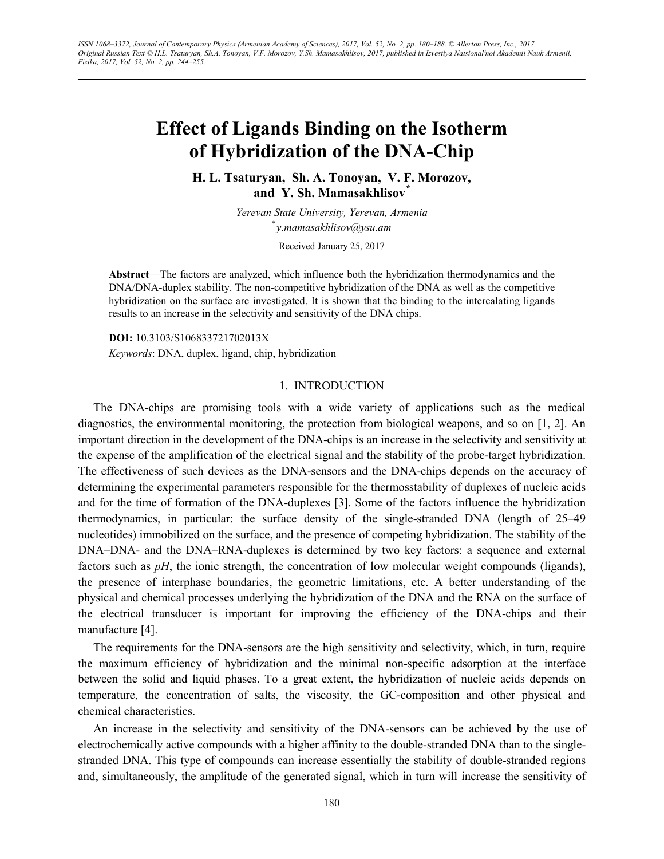# **Effect of Ligands Binding on the Isotherm of Hybridization of the DNA-Chip**

**H. L. Tsaturyan, Sh. A. Tonoyan, V. F. Morozov, and Y. Sh. Mamasakhlisov***\**

> *Yerevan State University, Yerevan, Armenia* \* *y.mamasakhlisov@ysu.am*

> > Received January 25, 2017

Abstract—The factors are analyzed, which influence both the hybridization thermodynamics and the DNA/DNA-duplex stability. The non-competitive hybridization of the DNA as well as the competitive hybridization on the surface are investigated. It is shown that the binding to the intercalating ligands results to an increase in the selectivity and sensitivity of the DNA chips.

**DOI:** 10.3103/S106833721702013X

*Keywords*: DNA, duplex, ligand, chip, hybridization

## 1. INTRODUCTION

The DNA-chips are promising tools with a wide variety of applications such as the medical diagnostics, the environmental monitoring, the protection from biological weapons, and so on [1, 2]. An important direction in the development of the DNA-chips is an increase in the selectivity and sensitivity at the expense of the amplification of the electrical signal and the stability of the probe-target hybridization. The effectiveness of such devices as the DNA-sensors and the DNA-chips depends on the accuracy of determining the experimental parameters responsible for the thermosstability of duplexes of nucleic acids and for the time of formation of the DNA-duplexes [3]. Some of the factors influence the hybridization thermodynamics, in particular: the surface density of the single-stranded DNA (length of 25–49 nucleotides) immobilized on the surface, and the presence of competing hybridization. The stability of the DNA–DNA- and the DNA–RNA-duplexes is determined by two key factors: a sequence and external factors such as *pH*, the ionic strength, the concentration of low molecular weight compounds (ligands), the presence of interphase boundaries, the geometric limitations, etc. A better understanding of the physical and chemical processes underlying the hybridization of the DNA and the RNA on the surface of the electrical transducer is important for improving the efficiency of the DNA-chips and their manufacture [4].

The requirements for the DNA-sensors are the high sensitivity and selectivity, which, in turn, require the maximum efficiency of hybridization and the minimal non-specific adsorption at the interface between the solid and liquid phases. To a great extent, the hybridization of nucleic acids depends on temperature, the concentration of salts, the viscosity, the GC-composition and other physical and chemical characteristics.

An increase in the selectivity and sensitivity of the DNA-sensors can be achieved by the use of electrochemically active compounds with a higher affinity to the double-stranded DNA than to the singlestranded DNA. This type of compounds can increase essentially the stability of double-stranded regions and, simultaneously, the amplitude of the generated signal, which in turn will increase the sensitivity of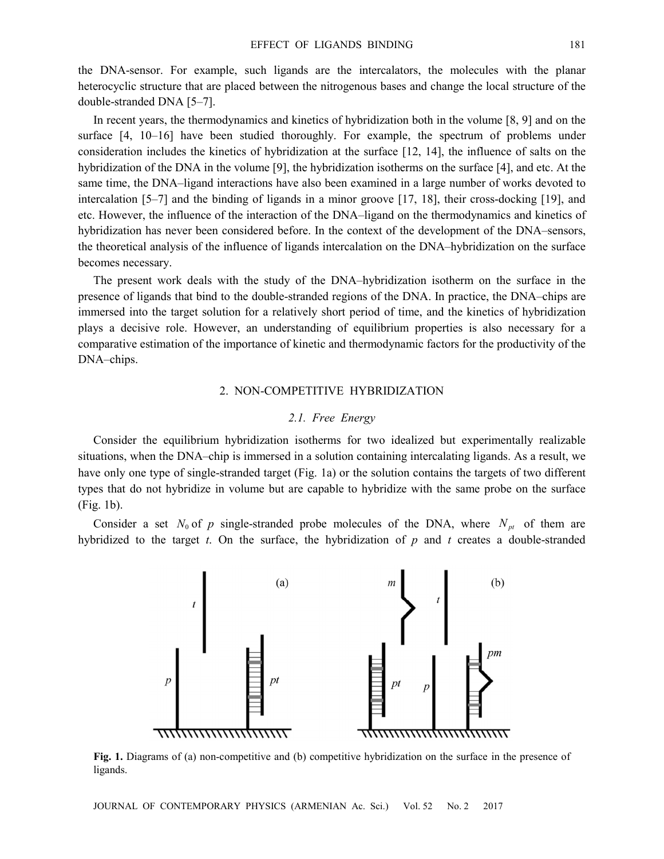the DNA-sensor. For example, such ligands are the intercalators, the molecules with the planar heterocyclic structure that are placed between the nitrogenous bases and change the local structure of the double-stranded DNA [5–7].

In recent years, the thermodynamics and kinetics of hybridization both in the volume [8, 9] and on the surface [4, 10–16] have been studied thoroughly. For example, the spectrum of problems under consideration includes the kinetics of hybridization at the surface [12, 14], the influence of salts on the hybridization of the DNA in the volume [9], the hybridization isotherms on the surface [4], and etc. At the same time, the DNA–ligand interactions have also been examined in a large number of works devoted to intercalation [5–7] and the binding of ligands in a minor groove [17, 18], their cross-docking [19], and etc. However, the influence of the interaction of the DNA–ligand on the thermodynamics and kinetics of hybridization has never been considered before. In the context of the development of the DNA–sensors, the theoretical analysis of the influence of ligands intercalation on the DNA–hybridization on the surface becomes necessary.

The present work deals with the study of the DNA–hybridization isotherm on the surface in the presence of ligands that bind to the double-stranded regions of the DNA. In practice, the DNA–chips are immersed into the target solution for a relatively short period of time, and the kinetics of hybridization plays a decisive role. However, an understanding of equilibrium properties is also necessary for a comparative estimation of the importance of kinetic and thermodynamic factors for the productivity of the DNA–chips.

### 2. NON-COMPETITIVE HYBRIDIZATION

## *2.1. Free Energy*

Consider the equilibrium hybridization isotherms for two idealized but experimentally realizable situations, when the DNA–chip is immersed in a solution containing intercalating ligands. As a result, we have only one type of single-stranded target (Fig. 1a) or the solution contains the targets of two different types that do not hybridize in volume but are capable to hybridize with the same probe on the surface (Fig. 1b).

Consider a set  $N_0$  of p single-stranded probe molecules of the DNA, where  $N_{pt}$  of them are hybridized to the target *t*. On the surface, the hybridization of *p* and *t* creates a double-stranded



**Fig. 1.** Diagrams of (a) non-competitive and (b) competitive hybridization on the surface in the presence of ligands.

JOURNAL OF CONTEMPORARY PHYSICS (ARMENIAN Ac. Sci.) Vol. 52 No. 2 2017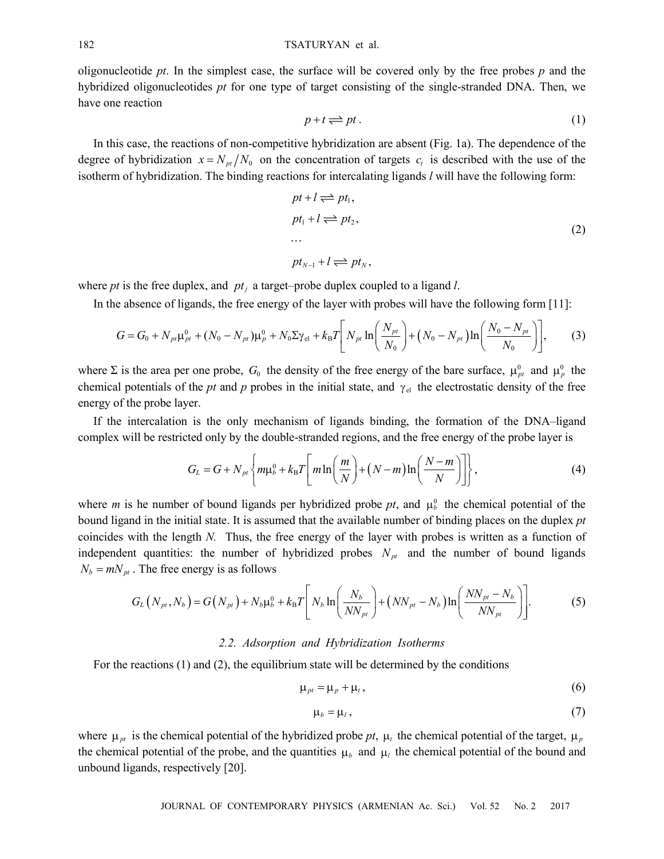oligonucleotide *pt*. In the simplest case, the surface will be covered only by the free probes *p* and the hybridized oligonucleotides *pt* for one type of target consisting of the single-stranded DNA. Then, we have one reaction

$$
p + t \rightleftharpoons pt. \tag{1}
$$

In this case, the reactions of non-competitive hybridization are absent (Fig. 1a). The dependence of the degree of hybridization  $x = N_{pt}/N_0$  on the concentration of targets  $c_t$  is described with the use of the isotherm of hybridization. The binding reactions for intercalating ligands *l* will have the following form:

$$
pt + l \rightleftharpoons pt_1,
$$
  
\n
$$
pt_1 + l \rightleftharpoons pt_2,
$$
  
\n...  
\n
$$
pt_{N-1} + l \rightleftharpoons pt_N,
$$
\n(2)

where *pt* is the free duplex, and  $pt_i$  a target–probe duplex coupled to a ligand *l*.

In the absence of ligands, the free energy of the layer with probes will have the following form [11]:

$$
G = G_0 + N_{pt}\mu_{pt}^0 + (N_0 - N_{pt})\mu_p^0 + N_0\Sigma\gamma_{el} + k_B T \left[ N_{pt} \ln\left(\frac{N_{pt}}{N_0}\right) + (N_0 - N_{pt})\ln\left(\frac{N_0 - N_{pt}}{N_0}\right) \right],
$$
 (3)

where  $\Sigma$  is the area per one probe,  $G_0$  the density of the free energy of the bare surface,  $\mu_{pt}^0$  and  $\mu_p^0$  the chemical potentials of the *pt* and *p* probes in the initial state, and  $\gamma_{el}$  the electrostatic density of the free energy of the probe layer.

If the intercalation is the only mechanism of ligands binding, the formation of the DNA–ligand complex will be restricted only by the double-stranded regions, and the free energy of the probe layer is

$$
G_L = G + N_{pt} \left\{ m \mu_b^0 + k_B T \left[ m \ln \left( \frac{m}{N} \right) + (N - m) \ln \left( \frac{N - m}{N} \right) \right] \right\},\tag{4}
$$

where *m* is he number of bound ligands per hybridized probe  $pt$ , and  $\mu_b^0$  the chemical potential of the bound ligand in the initial state. It is assumed that the available number of binding places on the duplex *pt*  coincides with the length *N.* Thus, the free energy of the layer with probes is written as a function of independent quantities: the number of hybridized probes  $N_{pt}$  and the number of bound ligands  $N_b = mN_{pt}$ . The free energy is as follows

$$
G_{L}(N_{pt}, N_{b}) = G(N_{pt}) + N_{b}\mu_{b}^{0} + k_{B}T\left[N_{b}\ln\left(\frac{N_{b}}{NN_{pt}}\right) + (NN_{pt} - N_{b})\ln\left(\frac{NN_{pt} - N_{b}}{NN_{pt}}\right)\right].
$$
 (5)

## *2.2. Adsorption and Hybridization Isotherms*

For the reactions (1) and (2), the equilibrium state will be determined by the conditions

$$
\mu_{pt} = \mu_p + \mu_t, \qquad (6)
$$

$$
\mu_b = \mu_l \,, \tag{7}
$$

where  $\mu_{pt}$  is the chemical potential of the hybridized probe  $pt$ ,  $\mu_t$  the chemical potential of the target,  $\mu_p$ the chemical potential of the probe, and the quantities  $\mu_b$  and  $\mu_l$  the chemical potential of the bound and unbound ligands, respectively [20].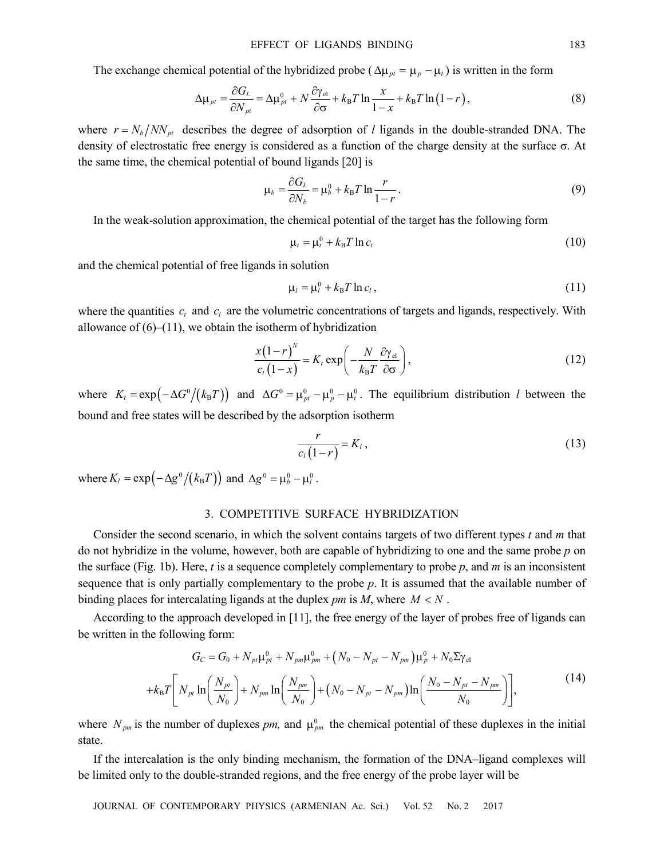The exchange chemical potential of the hybridized probe ( $\Delta \mu_{pt} = \mu_p - \mu_t$ ) is written in the form

$$
\Delta \mu_{pt} = \frac{\partial G_L}{\partial N_{pt}} = \Delta \mu_{pt}^0 + N \frac{\partial \gamma_{el}}{\partial \sigma} + k_B T \ln \frac{x}{1 - x} + k_B T \ln (1 - r), \qquad (8)
$$

where  $r = N_b / NN_{pt}$  describes the degree of adsorption of *l* ligands in the double-stranded DNA. The density of electrostatic free energy is considered as a function of the charge density at the surface σ. At the same time, the chemical potential of bound ligands [20] is

$$
\mu_b = \frac{\partial G_L}{\partial N_b} = \mu_b^0 + k_B T \ln \frac{r}{1 - r}.
$$
\n(9)

In the weak-solution approximation, the chemical potential of the target has the following form

$$
\mu_t = \mu_t^0 + k_B T \ln c_t \tag{10}
$$

and the chemical potential of free ligands in solution

$$
\mu_l = \mu_l^0 + k_B T \ln c_l, \qquad (11)
$$

where the quantities  $c_t$  and  $c_l$  are the volumetric concentrations of targets and ligands, respectively. With allowance of  $(6)$ – $(11)$ , we obtain the isotherm of hybridization

$$
\frac{x(1-r)^{N}}{c_{t}(1-x)} = K_{t} \exp\left(-\frac{N}{k_{B}T} \frac{\partial \gamma_{el}}{\partial \sigma}\right),\tag{12}
$$

where  $K_t = \exp(-\Delta G^0/(k_B T))$  and  $\Delta G^0 = \mu_{pt}^0 - \mu_r^0 - \mu_t^0$ . The equilibrium distribution *l* between the bound and free states will be described by the adsorption isotherm

$$
\frac{r}{c_l(1-r)} = K_l, \qquad (13)
$$

where  $K_l = \exp(-\Delta g^0/(k_B T))$  and  $\Delta g^0 = \mu_b^0 - \mu_l^0$ .

## 3. COMPETITIVE SURFACE HYBRIDIZATION

Consider the second scenario, in which the solvent contains targets of two different types *t* and *m* that do not hybridize in the volume, however, both are capable of hybridizing to one and the same probe *p* on the surface (Fig. 1b). Here, *t* is a sequence completely complementary to probe *p*, and *m* is an inconsistent sequence that is only partially complementary to the probe *p*. It is assumed that the available number of binding places for intercalating ligands at the duplex *pm* is *M*, where *M* < *N* .

According to the approach developed in [11], the free energy of the layer of probes free of ligands can be written in the following form:

$$
G_C = G_0 + N_{pt} \mu_{pt}^0 + N_{pm} \mu_{pm}^0 + (N_0 - N_{pt} - N_{pm}) \mu_p^0 + N_0 \Sigma \gamma_{el}
$$
  
+
$$
k_B T \left[ N_{pt} \ln \left( \frac{N_{pt}}{N_0} \right) + N_{pm} \ln \left( \frac{N_{pm}}{N_0} \right) + (N_0 - N_{pt} - N_{pm}) \ln \left( \frac{N_0 - N_{pt} - N_{pm}}{N_0} \right) \right],
$$
 (14)

where  $N_{pm}$  is the number of duplexes *pm*, and  $\mu_{pm}^0$  the chemical potential of these duplexes in the initial state.

If the intercalation is the only binding mechanism, the formation of the DNA–ligand complexes will be limited only to the double-stranded regions, and the free energy of the probe layer will be

JOURNAL OF CONTEMPORARY PHYSICS (ARMENIAN Ac. Sci.) Vol. 52 No. 2 2017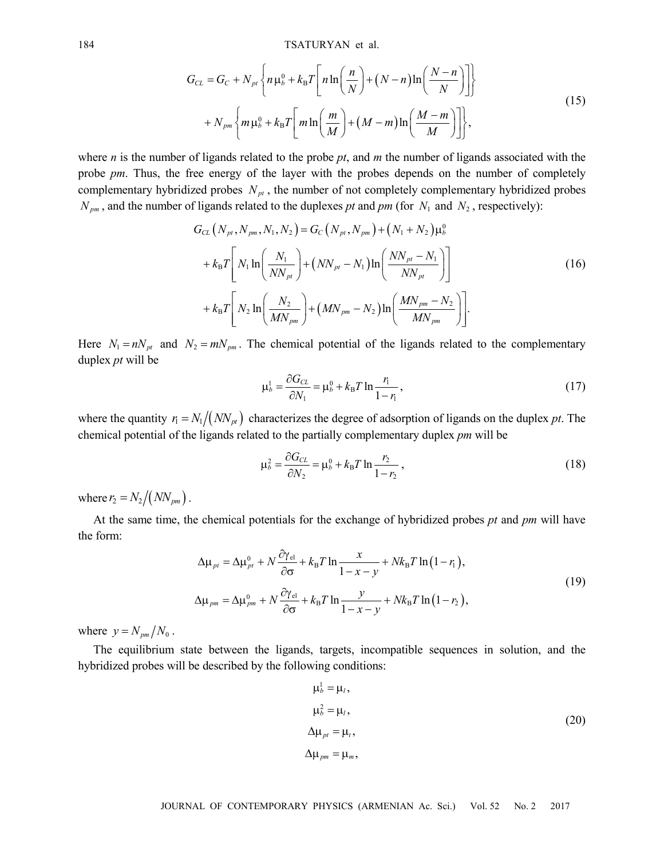$$
G_{CL} = G_C + N_{pt} \left\{ n \mu_b^0 + k_B T \left[ n \ln \left( \frac{n}{N} \right) + (N - n) \ln \left( \frac{N - n}{N} \right) \right] \right\}
$$
  
+ 
$$
N_{pm} \left\{ m \mu_b^0 + k_B T \left[ m \ln \left( \frac{m}{M} \right) + (M - m) \ln \left( \frac{M - m}{M} \right) \right] \right\},
$$
 (15)

where *n* is the number of ligands related to the probe *pt*, and *m* the number of ligands associated with the probe *pm*. Thus, the free energy of the layer with the probes depends on the number of completely complementary hybridized probes  $N_{pt}$ , the number of not completely complementary hybridized probes  $N_{pm}$ , and the number of ligands related to the duplexes *pt* and *pm* (for  $N_1$  and  $N_2$ , respectively):

$$
G_{CL} (N_{pr}, N_{pm}, N_1, N_2) = G_C (N_{pr}, N_{pm}) + (N_1 + N_2) \mu_b^0
$$
  
+  $k_B T \left[ N_1 \ln \left( \frac{N_1}{NN_{pt}} \right) + (NN_{pt} - N_1) \ln \left( \frac{NN_{pt} - N_1}{NN_{pt}} \right) \right]$   
+  $k_B T \left[ N_2 \ln \left( \frac{N_2}{MN_{pm}} \right) + (MN_{pm} - N_2) \ln \left( \frac{MN_{pm} - N_2}{MN_{pm}} \right) \right].$  (16)

Here  $N_1 = nN_{pt}$  and  $N_2 = mN_{pm}$ . The chemical potential of the ligands related to the complementary duplex *pt* will be

$$
\mu_b^1 = \frac{\partial G_{CL}}{\partial N_1} = \mu_b^0 + k_B T \ln \frac{r_1}{1 - r_1},\tag{17}
$$

where the quantity  $r_1 = N_1 / (N N_{pt})$  characterizes the degree of adsorption of ligands on the duplex *pt*. The chemical potential of the ligands related to the partially complementary duplex *pm* will be

$$
\mu_b^2 = \frac{\partial G_{CL}}{\partial N_2} = \mu_b^0 + k_B T \ln \frac{r_2}{1 - r_2},
$$
\n(18)

where  $r_2 = N_2 / (N N_{pm})$ .

At the same time, the chemical potentials for the exchange of hybridized probes *pt* and *pm* will have the form:

$$
\Delta \mu_{pt} = \Delta \mu_{pt}^0 + N \frac{\partial \gamma_{el}}{\partial \sigma} + k_B T \ln \frac{x}{1 - x - y} + N k_B T \ln (1 - r_1),
$$
  

$$
\Delta \mu_{pm} = \Delta \mu_{pm}^0 + N \frac{\partial \gamma_{el}}{\partial \sigma} + k_B T \ln \frac{y}{1 - x - y} + N k_B T \ln (1 - r_2),
$$
 (19)

where  $y = N_{pm}/N_0$ .

The equilibrium state between the ligands, targets, incompatible sequences in solution, and the hybridized probes will be described by the following conditions:

$$
\mu_b^1 = \mu_l,
$$
  
\n
$$
\mu_b^2 = \mu_l,
$$
  
\n
$$
\Delta \mu_{pt} = \mu_r,
$$
  
\n
$$
\Delta \mu_{pm} = \mu_m,
$$
  
\n(20)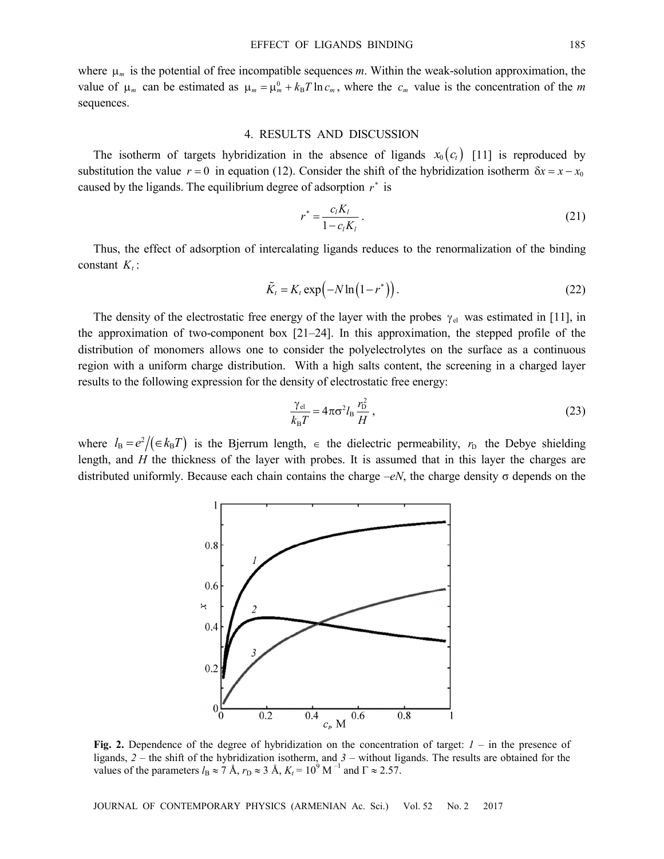where μ*m* is the potential of free incompatible sequences *m*. Within the weak-solution approximation, the value of  $\mu_m$  can be estimated as  $\mu_m = \mu_m^0 + k_B T \ln c_m$ , where the  $c_m$  value is the concentration of the *m* sequences.

#### 4. RESULTS AND DISCUSSION

The isotherm of targets hybridization in the absence of ligands  $x_0 (c_t)$  [11] is reproduced by substitution the value  $r = 0$  in equation (12). Consider the shift of the hybridization isotherm  $\delta x = x - x_0$ caused by the ligands. The equilibrium degree of adsorption  $r^*$  is

$$
r^* = \frac{c_l K_l}{1 - c_l K_l} \,. \tag{21}
$$

Thus, the effect of adsorption of intercalating ligands reduces to the renormalization of the binding constant  $K_t$ :

$$
\tilde{K}_t = K_t \exp\left(-N \ln\left(1 - r^*\right)\right). \tag{22}
$$

The density of the electrostatic free energy of the layer with the probes  $\gamma_{el}$  was estimated in [11], in the approximation of two-component box [21–24]. In this approximation, the stepped profile of the distribution of monomers allows one to consider the polyelectrolytes on the surface as a continuous region with a uniform charge distribution. With a high salts content, the screening in a charged layer results to the following expression for the density of electrostatic free energy:

$$
\frac{\gamma_{\rm el}}{k_{\rm B}T} = 4\pi\sigma^2 l_{\rm B} \frac{r_{\rm D}^2}{H} \,,\tag{23}
$$

where  $l_B = e^2/(\epsilon k_B T)$  is the Bjerrum length,  $\epsilon$  the dielectric permeability,  $r_D$  the Debye shielding length, and *H* the thickness of the layer with probes. It is assumed that in this layer the charges are distributed uniformly. Because each chain contains the charge –*eN*, the charge density σ depends on the



**Fig. 2.** Dependence of the degree of hybridization on the concentration of target: *1* – in the presence of ligands, *2* – the shift of the hybridization isotherm, and *3* – without ligands. The results are obtained for the values of the parameters  $l_B \approx 7$  Å,  $r_D \approx 3$  Å,  $K_t = 10^9$  M<sup>-1</sup> and  $\Gamma \approx 2.57$ .

JOURNAL OF CONTEMPORARY PHYSICS (ARMENIAN Ac. Sci.) Vol. 52 No. 2 2017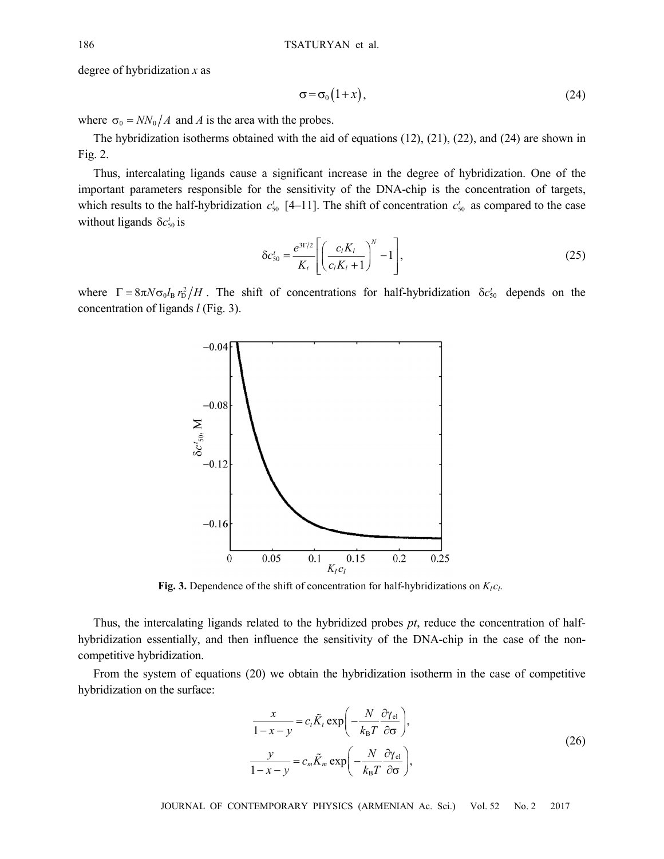degree of hybridization *x* as

$$
\sigma = \sigma_0 \left( 1 + x \right),\tag{24}
$$

where  $\sigma_0 = NN_0/A$  and *A* is the area with the probes.

The hybridization isotherms obtained with the aid of equations (12), (21), (22), and (24) are shown in Fig. 2.

Thus, intercalating ligands cause a significant increase in the degree of hybridization. One of the important parameters responsible for the sensitivity of the DNA-chip is the concentration of targets, which results to the half-hybridization  $c_{50}$  [4–11]. The shift of concentration  $c_{50}$  as compared to the case without ligands  $\delta c_{50}^t$  is

$$
\delta c_{50}^{t} = \frac{e^{3\Gamma/2}}{K_{t}} \left[ \left( \frac{c_{l} K_{l}}{c_{l} K_{l} + 1} \right)^{N} - 1 \right],
$$
\n(25)

where  $\Gamma = 8\pi N \sigma_0 I_B r_D^2/H$ . The shift of concentrations for half-hybridization  $\delta c_{50}^t$  depends on the concentration of ligands *l* (Fig. 3).



**Fig. 3.** Dependence of the shift of concentration for half-hybridizations on  $K_{l}c_{l}$ .

Thus, the intercalating ligands related to the hybridized probes *pt*, reduce the concentration of halfhybridization essentially, and then influence the sensitivity of the DNA-chip in the case of the noncompetitive hybridization.

From the system of equations (20) we obtain the hybridization isotherm in the case of competitive hybridization on the surface:

$$
\frac{x}{1-x-y} = c_t \tilde{K}_t \exp\left(-\frac{N}{k_B T} \frac{\partial \gamma_{el}}{\partial \sigma}\right),
$$
  

$$
\frac{y}{1-x-y} = c_m \tilde{K}_m \exp\left(-\frac{N}{k_B T} \frac{\partial \gamma_{el}}{\partial \sigma}\right),
$$
 (26)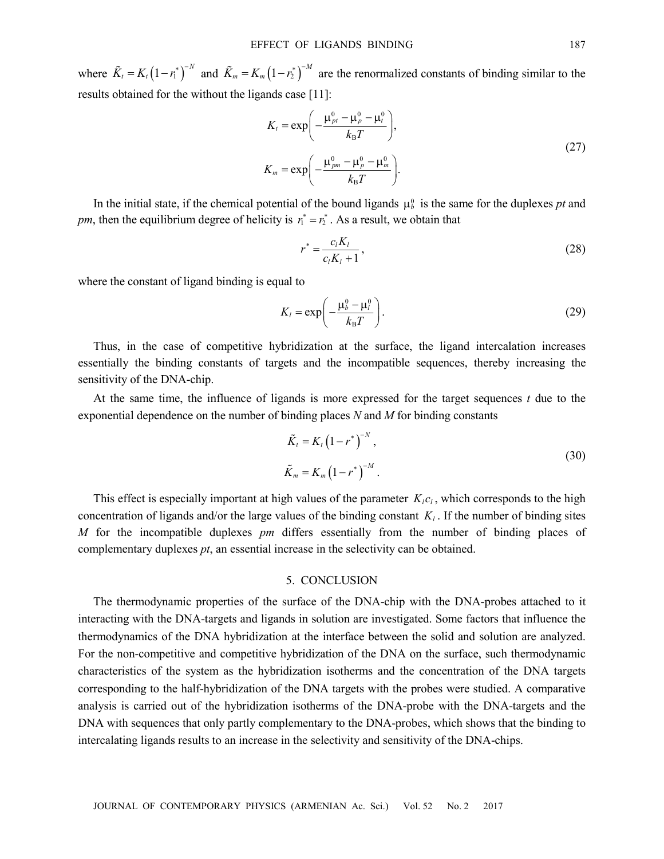where  $\tilde{K}_t = K_t (1 - r_1^*)^{-N}$  and  $\tilde{K}_m = K_m (1 - r_2^*)^{-M}$  are the renormalized constants of binding similar to the results obtained for the without the ligands case [11]:

$$
K_t = \exp\left(-\frac{\mu_{\text{pn}}^0 - \mu_{\text{p}}^0 - \mu_t^0}{k_B T}\right),
$$
  
\n
$$
K_m = \exp\left(-\frac{\mu_{\text{pm}}^0 - \mu_{\text{p}}^0 - \mu_m^0}{k_B T}\right).
$$
\n(27)

In the initial state, if the chemical potential of the bound ligands  $\mu_b^0$  is the same for the duplexes *pt* and *pm*, then the equilibrium degree of helicity is  $r_1^* = r_2^*$ . As a result, we obtain that

$$
r^* = \frac{c_l K_l}{c_l K_l + 1},\tag{28}
$$

where the constant of ligand binding is equal to

$$
K_{l} = \exp\left(-\frac{\mu_{b}^{0} - \mu_{l}^{0}}{k_{B}T}\right).
$$
 (29)

Thus, in the case of competitive hybridization at the surface, the ligand intercalation increases essentially the binding constants of targets and the incompatible sequences, thereby increasing the sensitivity of the DNA-chip.

At the same time, the influence of ligands is more expressed for the target sequences *t* due to the exponential dependence on the number of binding places *N* and *M* for binding constants

$$
\tilde{K}_t = K_t (1 - r^*)^{-N}, \n\tilde{K}_m = K_m (1 - r^*)^{-M}.
$$
\n(30)

This effect is especially important at high values of the parameter  $K_i c_i$ , which corresponds to the high concentration of ligands and/or the large values of the binding constant  $K_l$ . If the number of binding sites *M* for the incompatible duplexes *pm* differs essentially from the number of binding places of complementary duplexes *pt*, an essential increase in the selectivity can be obtained.

### 5. CONCLUSION

The thermodynamic properties of the surface of the DNA-chip with the DNA-probes attached to it interacting with the DNA-targets and ligands in solution are investigated. Some factors that influence the thermodynamics of the DNA hybridization at the interface between the solid and solution are analyzed. For the non-competitive and competitive hybridization of the DNA on the surface, such thermodynamic characteristics of the system as the hybridization isotherms and the concentration of the DNA targets corresponding to the half-hybridization of the DNA targets with the probes were studied. A comparative analysis is carried out of the hybridization isotherms of the DNA-probe with the DNA-targets and the DNA with sequences that only partly complementary to the DNA-probes, which shows that the binding to intercalating ligands results to an increase in the selectivity and sensitivity of the DNA-chips.